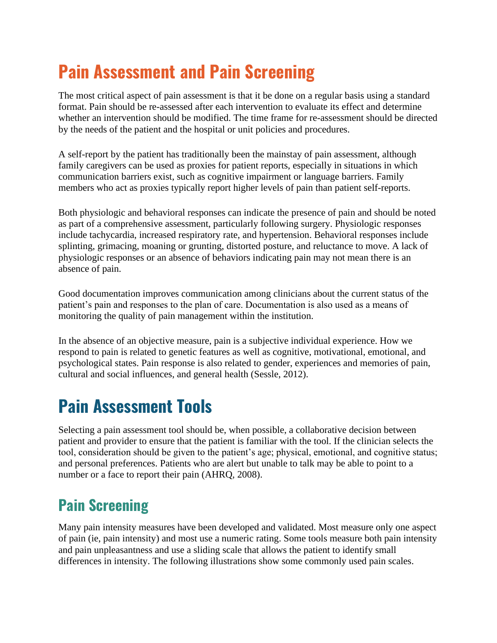# **Pain Assessment and Pain Screening**

The most critical aspect of pain assessment is that it be done on a regular basis using a standard format. Pain should be re-assessed after each intervention to evaluate its effect and determine whether an intervention should be modified. The time frame for re-assessment should be directed by the needs of the patient and the hospital or unit policies and procedures.

A self-report by the patient has traditionally been the mainstay of pain assessment, although family caregivers can be used as proxies for patient reports, especially in situations in which communication barriers exist, such as cognitive impairment or language barriers. Family members who act as proxies typically report higher levels of pain than patient self-reports.

Both physiologic and behavioral responses can indicate the presence of pain and should be noted as part of a comprehensive assessment, particularly following surgery. Physiologic responses include tachycardia, increased respiratory rate, and hypertension. Behavioral responses include splinting, grimacing, moaning or grunting, distorted posture, and reluctance to move. A lack of physiologic responses or an absence of behaviors indicating pain may not mean there is an absence of pain.

Good documentation improves communication among clinicians about the current status of the patient's pain and responses to the plan of care. Documentation is also used as a means of monitoring the quality of pain management within the institution.

In the absence of an objective measure, pain is a subjective individual experience. How we respond to pain is related to genetic features as well as cognitive, motivational, emotional, and psychological states. Pain response is also related to gender, experiences and memories of pain, cultural and social influences, and general health (Sessle, 2012).

# **Pain Assessment Tools**

Selecting a pain assessment tool should be, when possible, a collaborative decision between patient and provider to ensure that the patient is familiar with the tool. If the clinician selects the tool, consideration should be given to the patient's age; physical, emotional, and cognitive status; and personal preferences. Patients who are alert but unable to talk may be able to point to a number or a face to report their pain (AHRQ, 2008).

### **Pain Screening**

Many pain intensity measures have been developed and validated. Most measure only one aspect of pain (ie, pain intensity) and most use a numeric rating. Some tools measure both pain intensity and pain unpleasantness and use a sliding scale that allows the patient to identify small differences in intensity. The following illustrations show some commonly used pain scales.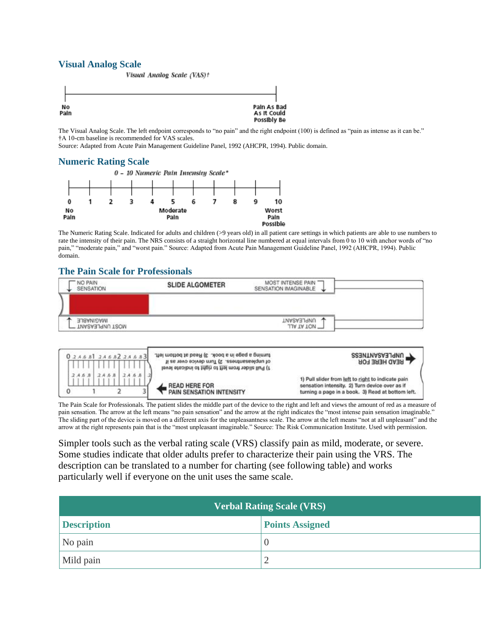#### **Visual Analog Scale**



The Visual Analog Scale. The left endpoint corresponds to "no pain" and the right endpoint (100) is defined as "pain as intense as it can be." †A 10-cm baseline is recommended for VAS scales.

Source: Adapted from Acute Pain Management Guideline Panel, 1992 (AHCPR, 1994). Public domain.

#### **Numeric Rating Scale**



The Numeric Rating Scale. Indicated for adults and children (>9 years old) in all patient care settings in which patients are able to use numbers to rate the intensity of their pain. The NRS consists of a straight horizontal line numbered at equal intervals from 0 to 10 with anchor words of "no pain," "moderate pain," and "worst pain." Source: Adapted from Acute Pain Management Guideline Panel, 1992 (AHCPR, 1994). Public domain.

#### **The Pain Scale for Professionals**





The Pain Scale for Professionals. The patient slides the middle part of the device to the right and left and views the amount of red as a measure of pain sensation. The arrow at the left means "no pain sensation" and the arrow at the right indicates the "most intense pain sensation imaginable." The sliding part of the device is moved on a different axis for the unpleasantness scale. The arrow at the left means "not at all unpleasant" and the arrow at the right represents pain that is the "most unpleasant imaginable." Source: The Risk Communication Institute. Used with permission.

Simpler tools such as the verbal rating scale (VRS) classify pain as mild, moderate, or severe. Some studies indicate that older adults prefer to characterize their pain using the VRS. The description can be translated to a number for charting (see following table) and works particularly well if everyone on the unit uses the same scale.

| <b>Verbal Rating Scale (VRS)</b> |                        |  |  |
|----------------------------------|------------------------|--|--|
| <b>Description</b>               | <b>Points Assigned</b> |  |  |
| No pain                          |                        |  |  |
| Mild pain                        |                        |  |  |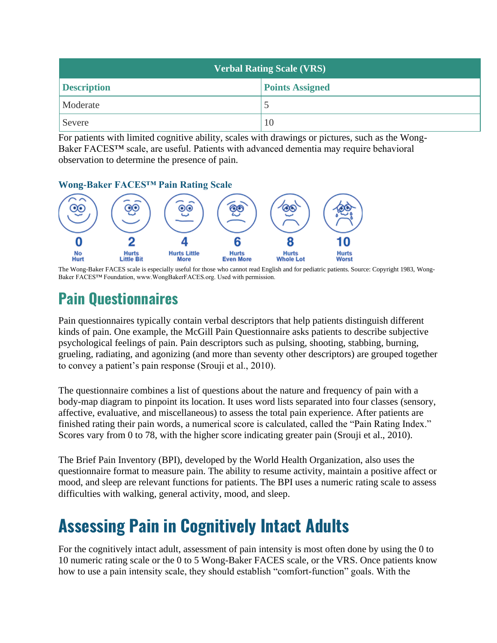| <b>Verbal Rating Scale (VRS)</b> |                        |  |  |
|----------------------------------|------------------------|--|--|
| <b>Description</b>               | <b>Points Assigned</b> |  |  |
| Moderate                         |                        |  |  |
| Severe                           | 10                     |  |  |

For patients with limited cognitive ability, scales with drawings or pictures, such as the Wong-Baker FACES™ scale, are useful. Patients with advanced dementia may require behavioral observation to determine the presence of pain.



The Wong-Baker FACES scale is especially useful for those who cannot read English and for pediatric patients. Source: Copyright 1983, Wong-Baker FACES™ Foundation, www.WongBakerFACES.org. Used with permission.

### **Pain Questionnaires**

Pain questionnaires typically contain verbal descriptors that help patients distinguish different kinds of pain. One example, the McGill Pain Questionnaire asks patients to describe subjective psychological feelings of pain. Pain descriptors such as pulsing, shooting, stabbing, burning, grueling, radiating, and agonizing (and more than seventy other descriptors) are grouped together to convey a patient's pain response (Srouji et al., 2010).

The questionnaire combines a list of questions about the nature and frequency of pain with a body-map diagram to pinpoint its location. It uses word lists separated into four classes (sensory, affective, evaluative, and miscellaneous) to assess the total pain experience. After patients are finished rating their pain words, a numerical score is calculated, called the "Pain Rating Index." Scores vary from 0 to 78, with the higher score indicating greater pain (Srouji et al., 2010).

The Brief Pain Inventory (BPI), developed by the World Health Organization, also uses the questionnaire format to measure pain. The ability to resume activity, maintain a positive affect or mood, and sleep are relevant functions for patients. The BPI uses a numeric rating scale to assess difficulties with walking, general activity, mood, and sleep.

# **Assessing Pain in Cognitively Intact Adults**

For the cognitively intact adult, assessment of pain intensity is most often done by using the 0 to 10 numeric rating scale or the 0 to 5 Wong-Baker FACES scale, or the VRS. Once patients know how to use a pain intensity scale, they should establish "comfort-function" goals. With the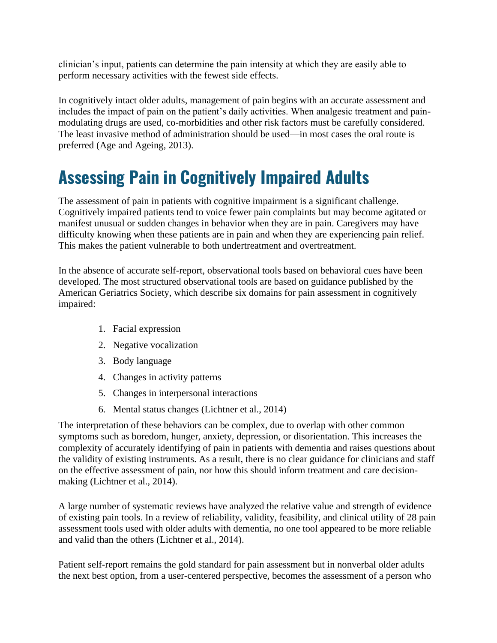clinician's input, patients can determine the pain intensity at which they are easily able to perform necessary activities with the fewest side effects.

In cognitively intact older adults, management of pain begins with an accurate assessment and includes the impact of pain on the patient's daily activities. When analgesic treatment and painmodulating drugs are used, co-morbidities and other risk factors must be carefully considered. The least invasive method of administration should be used—in most cases the oral route is preferred (Age and Ageing, 2013).

## **Assessing Pain in Cognitively Impaired Adults**

The assessment of pain in patients with cognitive impairment is a significant challenge. Cognitively impaired patients tend to voice fewer pain complaints but may become agitated or manifest unusual or sudden changes in behavior when they are in pain. Caregivers may have difficulty knowing when these patients are in pain and when they are experiencing pain relief. This makes the patient vulnerable to both undertreatment and overtreatment.

In the absence of accurate self-report, observational tools based on behavioral cues have been developed. The most structured observational tools are based on guidance published by the American Geriatrics Society, which describe six domains for pain assessment in cognitively impaired:

- 1. Facial expression
- 2. Negative vocalization
- 3. Body language
- 4. Changes in activity patterns
- 5. Changes in interpersonal interactions
- 6. Mental status changes (Lichtner et al., 2014)

The interpretation of these behaviors can be complex, due to overlap with other common symptoms such as boredom, hunger, anxiety, depression, or disorientation. This increases the complexity of accurately identifying of pain in patients with dementia and raises questions about the validity of existing instruments. As a result, there is no clear guidance for clinicians and staff on the effective assessment of pain, nor how this should inform treatment and care decisionmaking (Lichtner et al., 2014).

A large number of systematic reviews have analyzed the relative value and strength of evidence of existing pain tools. In a review of reliability, validity, feasibility, and clinical utility of 28 pain assessment tools used with older adults with dementia, no one tool appeared to be more reliable and valid than the others (Lichtner et al., 2014).

Patient self-report remains the gold standard for pain assessment but in nonverbal older adults the next best option, from a user-centered perspective, becomes the assessment of a person who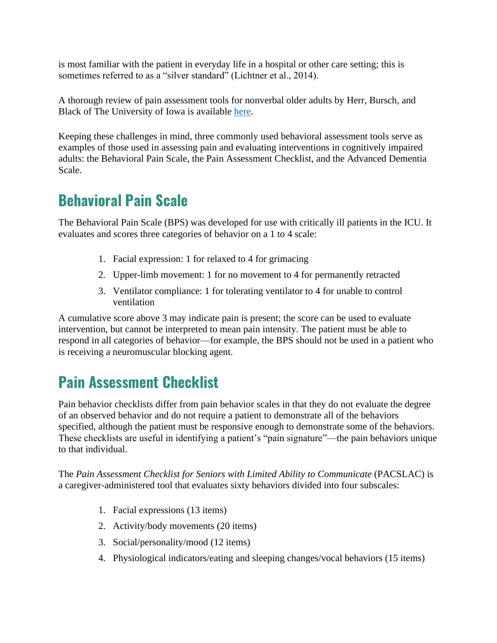is most familiar with the patient in everyday life in a hospital or other care setting; this is sometimes referred to as a "silver standard" (Lichtner et al., 2014).

A thorough review of pain assessment tools for nonverbal older adults by Herr, Bursch, and Black of The University of Iowa is available [here.](http://prc.coh.org/PainNOA/OV.pdf)

Keeping these challenges in mind, three commonly used behavioral assessment tools serve as examples of those used in assessing pain and evaluating interventions in cognitively impaired adults: the Behavioral Pain Scale, the Pain Assessment Checklist, and the Advanced Dementia Scale.

### **Behavioral Pain Scale**

The Behavioral Pain Scale (BPS) was developed for use with critically ill patients in the ICU. It evaluates and scores three categories of behavior on a 1 to 4 scale:

- 1. Facial expression: 1 for relaxed to 4 for grimacing
- 2. Upper-limb movement: 1 for no movement to 4 for permanently retracted
- 3. Ventilator compliance: 1 for tolerating ventilator to 4 for unable to control ventilation

A cumulative score above 3 may indicate pain is present; the score can be used to evaluate intervention, but cannot be interpreted to mean pain intensity. The patient must be able to respond in all categories of behavior—for example, the BPS should not be used in a patient who is receiving a neuromuscular blocking agent.

### **Pain Assessment Checklist**

Pain behavior checklists differ from pain behavior scales in that they do not evaluate the degree of an observed behavior and do not require a patient to demonstrate all of the behaviors specified, although the patient must be responsive enough to demonstrate some of the behaviors. These checklists are useful in identifying a patient's "pain signature"—the pain behaviors unique to that individual.

The *Pain Assessment Checklist for Seniors with Limited Ability to Communicate* (PACSLAC) is a caregiver-administered tool that evaluates sixty behaviors divided into four subscales:

- 1. Facial expressions (13 items)
- 2. Activity/body movements (20 items)
- 3. Social/personality/mood (12 items)
- 4. Physiological indicators/eating and sleeping changes/vocal behaviors (15 items)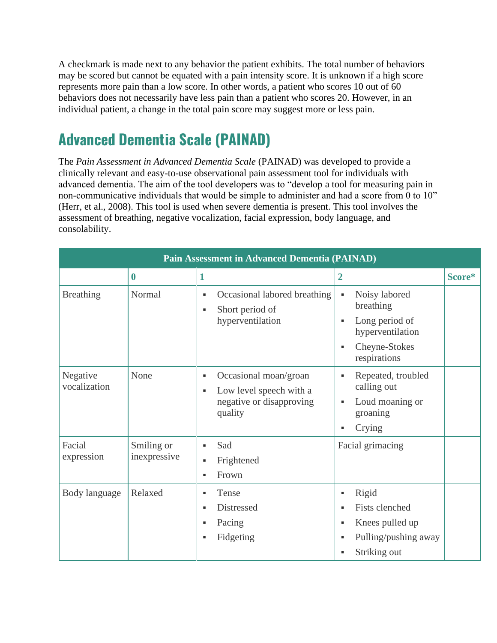A checkmark is made next to any behavior the patient exhibits. The total number of behaviors may be scored but cannot be equated with a pain intensity score. It is unknown if a high score represents more pain than a low score. In other words, a patient who scores 10 out of 60 behaviors does not necessarily have less pain than a patient who scores 20. However, in an individual patient, a change in the total pain score may suggest more or less pain.

### **Advanced Dementia Scale (PAINAD)**

The *Pain Assessment in Advanced Dementia Scale* (PAINAD) was developed to provide a clinically relevant and easy-to-use observational pain assessment tool for individuals with advanced dementia. The aim of the tool developers was to "develop a tool for measuring pain in non-communicative individuals that would be simple to administer and had a score from 0 to 10" (Herr, et al., 2008). This tool is used when severe dementia is present. This tool involves the assessment of breathing, negative vocalization, facial expression, body language, and consolability.

| <b>Pain Assessment in Advanced Dementia (PAINAD)</b> |                            |                                                                                                                |                                                                                                                                                           |        |  |  |
|------------------------------------------------------|----------------------------|----------------------------------------------------------------------------------------------------------------|-----------------------------------------------------------------------------------------------------------------------------------------------------------|--------|--|--|
|                                                      | $\boldsymbol{0}$           | 1                                                                                                              | $\overline{2}$                                                                                                                                            | Score* |  |  |
| <b>Breathing</b>                                     | Normal                     | Occasional labored breathing<br>$\blacksquare$<br>Short period of<br>٠<br>hyperventilation                     | Noisy labored<br>×,<br>breathing<br>Long period of<br>$\blacksquare$<br>hyperventilation<br>Cheyne-Stokes<br>٠<br>respirations                            |        |  |  |
| Negative<br>vocalization                             | None                       | Occasional moan/groan<br>٠<br>Low level speech with a<br>$\blacksquare$<br>negative or disapproving<br>quality | Repeated, troubled<br>٠<br>calling out<br>Loud moaning or<br>٠<br>groaning<br>Crying<br>$\blacksquare$                                                    |        |  |  |
| Facial<br>expression                                 | Smiling or<br>inexpressive | Sad<br>٠<br>Frightened<br>٠<br>Frown<br>٠                                                                      | Facial grimacing                                                                                                                                          |        |  |  |
| Body language                                        | Relaxed                    | Tense<br>٠<br>Distressed<br>٠<br>Pacing<br>٠<br>Fidgeting<br>٠                                                 | Rigid<br>٠<br><b>Fists clenched</b><br>$\blacksquare$<br>Knees pulled up<br>٠<br>Pulling/pushing away<br>$\blacksquare$<br>Striking out<br>$\blacksquare$ |        |  |  |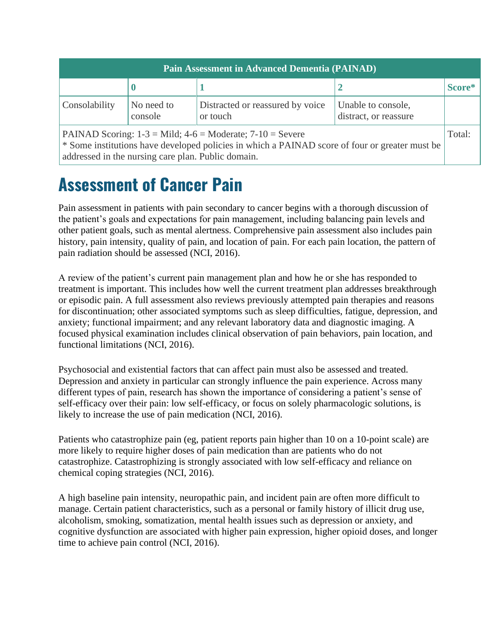| <b>Pain Assessment in Advanced Dementia (PAINAD)</b>                                                                                                                                                                    |                       |                                              |                                             |        |  |  |
|-------------------------------------------------------------------------------------------------------------------------------------------------------------------------------------------------------------------------|-----------------------|----------------------------------------------|---------------------------------------------|--------|--|--|
|                                                                                                                                                                                                                         |                       |                                              |                                             | Score* |  |  |
| Consolability                                                                                                                                                                                                           | No need to<br>console | Distracted or reassured by voice<br>or touch | Unable to console,<br>distract, or reassure |        |  |  |
| PAINAD Scoring: $1-3 =$ Mild; $4-6 =$ Moderate; $7-10 =$ Severe<br>* Some institutions have developed policies in which a PAINAD score of four or greater must be<br>addressed in the nursing care plan. Public domain. |                       |                                              |                                             | Total: |  |  |

**Assessment of Cancer Pain**

Pain assessment in patients with pain secondary to cancer begins with a thorough discussion of the patient's goals and expectations for pain management, including balancing pain levels and other patient goals, such as mental alertness. Comprehensive pain assessment also includes pain history, pain intensity, quality of pain, and location of pain. For each pain location, the pattern of pain radiation should be assessed (NCI, 2016).

A review of the patient's current pain management plan and how he or she has responded to treatment is important. This includes how well the current treatment plan addresses breakthrough or episodic pain. A full assessment also reviews previously attempted pain therapies and reasons for discontinuation; other associated symptoms such as sleep difficulties, fatigue, depression, and anxiety; functional impairment; and any relevant laboratory data and diagnostic imaging. A focused physical examination includes clinical observation of pain behaviors, pain location, and functional limitations (NCI, 2016).

Psychosocial and existential factors that can affect pain must also be assessed and treated. Depression and anxiety in particular can strongly influence the pain experience. Across many different types of pain, research has shown the importance of considering a patient's sense of self-efficacy over their pain: low self-efficacy, or focus on solely pharmacologic solutions, is likely to increase the use of pain medication (NCI, 2016).

Patients who catastrophize pain (eg, patient reports pain higher than 10 on a 10-point scale) are more likely to require higher doses of pain medication than are patients who do not catastrophize. Catastrophizing is strongly associated with low self-efficacy and reliance on chemical coping strategies (NCI, 2016).

A high baseline pain intensity, neuropathic pain, and incident pain are often more difficult to manage. Certain patient characteristics, such as a personal or family history of illicit drug use, alcoholism, smoking, somatization, mental health issues such as depression or anxiety, and cognitive dysfunction are associated with higher pain expression, higher opioid doses, and longer time to achieve pain control (NCI, 2016).